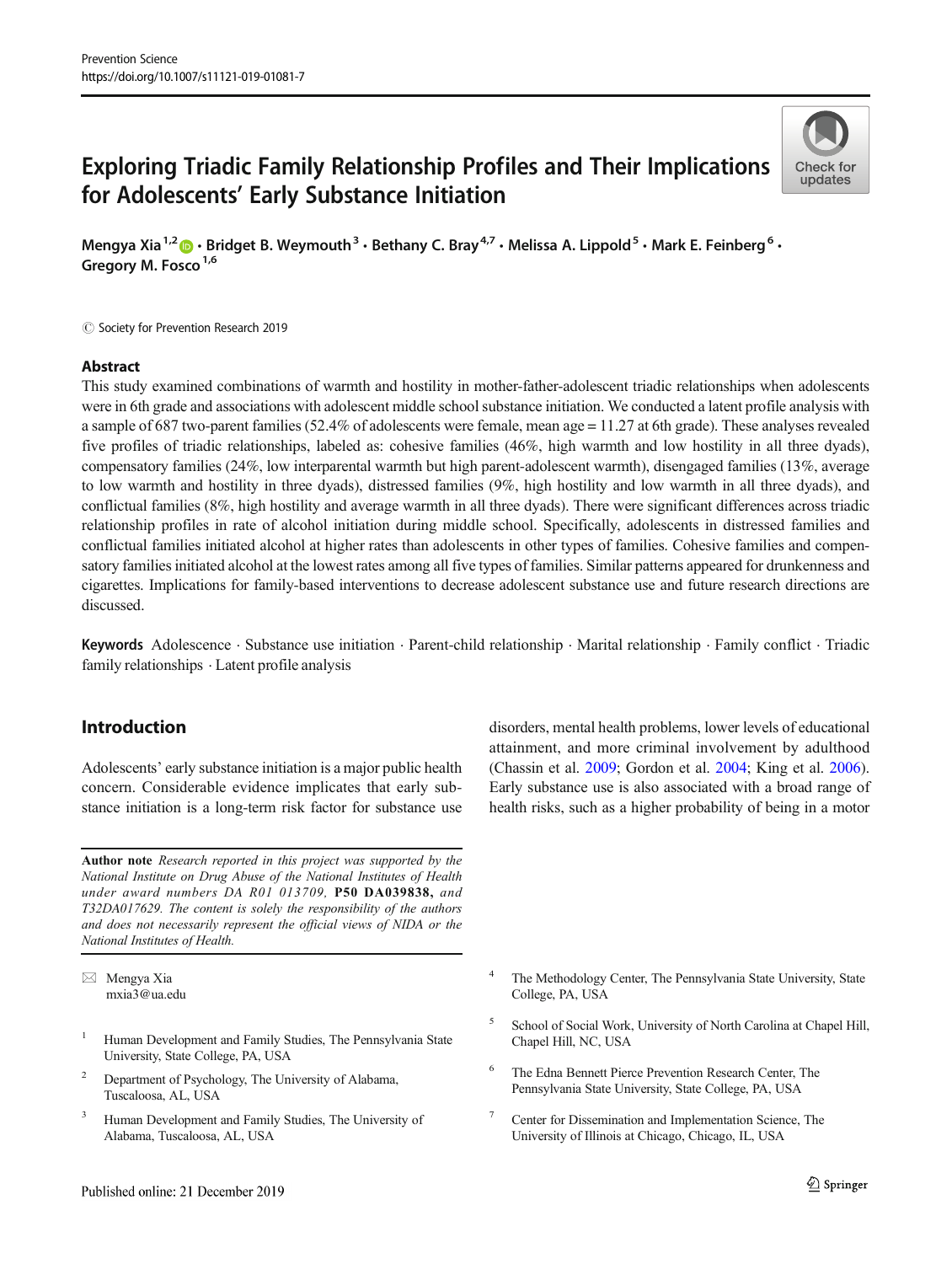# Exploring Triadic Family Relationship Profiles and Their Implications for Adolescents' Early Substance Initiation



Mengya Xia<sup>1,2</sup>  $\cdot$  Bridget B. Weymouth<sup>3</sup>  $\cdot$  Bethany C. Bray<sup>4,7</sup>  $\cdot$  Melissa A. Lippold<sup>5</sup>  $\cdot$  Mark E. Feinberg<sup>6</sup>  $\cdot$ Gregory M. Fosco<sup>1,6</sup>

 $\circled{c}$  Society for Prevention Research 2019

## Abstract

This study examined combinations of warmth and hostility in mother-father-adolescent triadic relationships when adolescents were in 6th grade and associations with adolescent middle school substance initiation. We conducted a latent profile analysis with a sample of 687 two-parent families (52.4% of adolescents were female, mean age  $= 11.27$  at 6th grade). These analyses revealed five profiles of triadic relationships, labeled as: cohesive families (46%, high warmth and low hostility in all three dyads), compensatory families (24%, low interparental warmth but high parent-adolescent warmth), disengaged families (13%, average to low warmth and hostility in three dyads), distressed families (9%, high hostility and low warmth in all three dyads), and conflictual families (8%, high hostility and average warmth in all three dyads). There were significant differences across triadic relationship profiles in rate of alcohol initiation during middle school. Specifically, adolescents in distressed families and conflictual families initiated alcohol at higher rates than adolescents in other types of families. Cohesive families and compensatory families initiated alcohol at the lowest rates among all five types of families. Similar patterns appeared for drunkenness and cigarettes. Implications for family-based interventions to decrease adolescent substance use and future research directions are discussed.

Keywords Adolescence . Substance use initiation . Parent-child relationship . Marital relationship . Family conflict . Triadic family relationships . Latent profile analysis

# Introduction

Adolescents' early substance initiation is a major public health concern. Considerable evidence implicates that early substance initiation is a long-term risk factor for substance use

Author note Research reported in this project was supported by the National Institute on Drug Abuse of the National Institutes of Health under award numbers DA R01 013709, P50 DA039838, and T32DA017629. The content is solely the responsibility of the authors and does not necessarily represent the official views of NIDA or the National Institutes of Health.

 $\boxtimes$  Mengya Xia [mxia3@ua.edu](mailto:mxia3@ua.edu)

- <sup>1</sup> Human Development and Family Studies, The Pennsylvania State University, State College, PA, USA
- <sup>2</sup> Department of Psychology, The University of Alabama, Tuscaloosa, AL, USA
- <sup>3</sup> Human Development and Family Studies, The University of Alabama, Tuscaloosa, AL, USA

disorders, mental health problems, lower levels of educational attainment, and more criminal involvement by adulthood (Chassin et al. [2009;](#page-8-0) Gordon et al. [2004](#page-8-0); King et al. [2006\)](#page-9-0). Early substance use is also associated with a broad range of health risks, such as a higher probability of being in a motor

- The Methodology Center, The Pennsylvania State University, State College, PA, USA
- <sup>5</sup> School of Social Work, University of North Carolina at Chapel Hill, Chapel Hill, NC, USA
- The Edna Bennett Pierce Prevention Research Center, The Pennsylvania State University, State College, PA, USA
- <sup>7</sup> Center for Dissemination and Implementation Science, The University of Illinois at Chicago, Chicago, IL, USA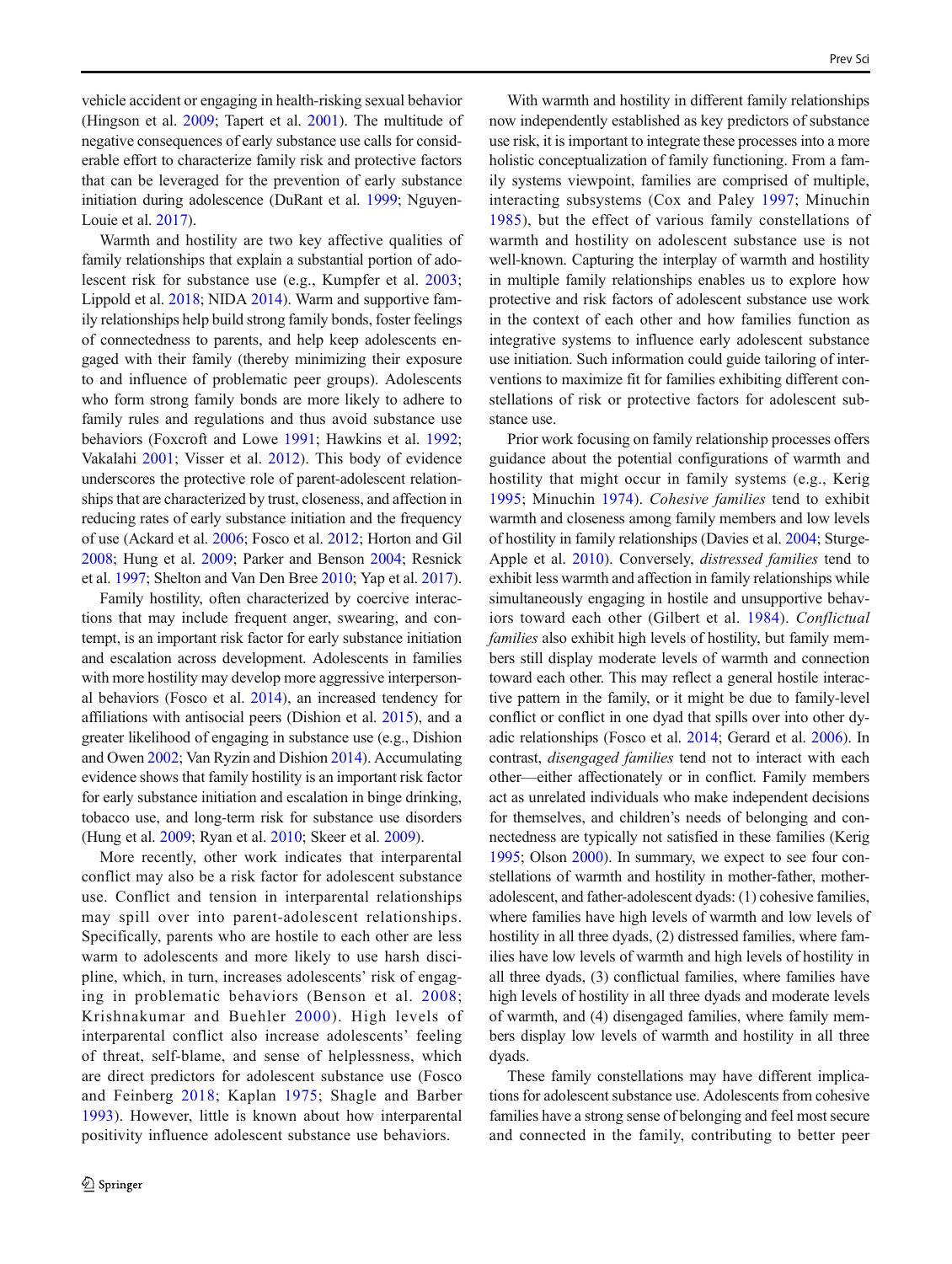vehicle accident or engaging in health-risking sexual behavior (Hingson et al. [2009](#page-8-0); Tapert et al. [2001](#page-9-0)). The multitude of negative consequences of early substance use calls for considerable effort to characterize family risk and protective factors that can be leveraged for the prevention of early substance initiation during adolescence (DuRant et al. [1999;](#page-8-0) Nguyen-Louie et al. [2017](#page-9-0)).

Warmth and hostility are two key affective qualities of family relationships that explain a substantial portion of adolescent risk for substance use (e.g., Kumpfer et al. [2003](#page-9-0); Lippold et al. [2018](#page-9-0); NIDA [2014\)](#page-9-0). Warm and supportive family relationships help build strong family bonds, foster feelings of connectedness to parents, and help keep adolescents engaged with their family (thereby minimizing their exposure to and influence of problematic peer groups). Adolescents who form strong family bonds are more likely to adhere to family rules and regulations and thus avoid substance use behaviors (Foxcroft and Lowe [1991;](#page-8-0) Hawkins et al. [1992](#page-8-0); Vakalahi [2001](#page-9-0); Visser et al. [2012\)](#page-10-0). This body of evidence underscores the protective role of parent-adolescent relationships that are characterized by trust, closeness, and affection in reducing rates of early substance initiation and the frequency of use (Ackard et al. [2006;](#page-8-0) Fosco et al. [2012;](#page-8-0) Horton and Gil [2008;](#page-9-0) Hung et al. [2009;](#page-9-0) Parker and Benson [2004](#page-9-0); Resnick et al. [1997](#page-9-0); Shelton and Van Den Bree [2010;](#page-9-0) Yap et al. [2017\)](#page-10-0).

Family hostility, often characterized by coercive interactions that may include frequent anger, swearing, and contempt, is an important risk factor for early substance initiation and escalation across development. Adolescents in families with more hostility may develop more aggressive interpersonal behaviors (Fosco et al. [2014\)](#page-8-0), an increased tendency for affiliations with antisocial peers (Dishion et al. [2015\)](#page-8-0), and a greater likelihood of engaging in substance use (e.g., Dishion and Owen [2002;](#page-8-0) Van Ryzin and Dishion [2014\)](#page-10-0). Accumulating evidence shows that family hostility is an important risk factor for early substance initiation and escalation in binge drinking, tobacco use, and long-term risk for substance use disorders (Hung et al. [2009;](#page-9-0) Ryan et al. [2010](#page-9-0); Skeer et al. [2009](#page-9-0)).

More recently, other work indicates that interparental conflict may also be a risk factor for adolescent substance use. Conflict and tension in interparental relationships may spill over into parent-adolescent relationships. Specifically, parents who are hostile to each other are less warm to adolescents and more likely to use harsh discipline, which, in turn, increases adolescents' risk of engaging in problematic behaviors (Benson et al. [2008](#page-8-0); Krishnakumar and Buehler [2000](#page-9-0)). High levels of interparental conflict also increase adolescents' feeling of threat, self-blame, and sense of helplessness, which are direct predictors for adolescent substance use (Fosco and Feinberg [2018;](#page-8-0) Kaplan [1975](#page-9-0); Shagle and Barber [1993](#page-9-0)). However, little is known about how interparental positivity influence adolescent substance use behaviors.

With warmth and hostility in different family relationships now independently established as key predictors of substance use risk, it is important to integrate these processes into a more holistic conceptualization of family functioning. From a family systems viewpoint, families are comprised of multiple, interacting subsystems (Cox and Paley [1997](#page-8-0); Minuchin [1985\)](#page-9-0), but the effect of various family constellations of warmth and hostility on adolescent substance use is not well-known. Capturing the interplay of warmth and hostility in multiple family relationships enables us to explore how protective and risk factors of adolescent substance use work in the context of each other and how families function as integrative systems to influence early adolescent substance use initiation. Such information could guide tailoring of interventions to maximize fit for families exhibiting different constellations of risk or protective factors for adolescent substance use.

Prior work focusing on family relationship processes offers guidance about the potential configurations of warmth and hostility that might occur in family systems (e.g., Kerig [1995](#page-9-0); Minuchin [1974\)](#page-9-0). Cohesive families tend to exhibit warmth and closeness among family members and low levels of hostility in family relationships (Davies et al. [2004](#page-8-0); Sturge-Apple et al. [2010](#page-9-0)). Conversely, distressed families tend to exhibit less warmth and affection in family relationships while simultaneously engaging in hostile and unsupportive behaviors toward each other (Gilbert et al. [1984](#page-8-0)). Conflictual families also exhibit high levels of hostility, but family members still display moderate levels of warmth and connection toward each other. This may reflect a general hostile interactive pattern in the family, or it might be due to family-level conflict or conflict in one dyad that spills over into other dyadic relationships (Fosco et al. [2014](#page-8-0); Gerard et al. [2006](#page-8-0)). In contrast, disengaged families tend not to interact with each other—either affectionately or in conflict. Family members act as unrelated individuals who make independent decisions for themselves, and children's needs of belonging and connectedness are typically not satisfied in these families (Kerig [1995;](#page-9-0) Olson [2000\)](#page-9-0). In summary, we expect to see four constellations of warmth and hostility in mother-father, motheradolescent, and father-adolescent dyads: (1) cohesive families, where families have high levels of warmth and low levels of hostility in all three dyads, (2) distressed families, where families have low levels of warmth and high levels of hostility in all three dyads, (3) conflictual families, where families have high levels of hostility in all three dyads and moderate levels of warmth, and (4) disengaged families, where family members display low levels of warmth and hostility in all three dyads.

These family constellations may have different implications for adolescent substance use. Adolescents from cohesive families have a strong sense of belonging and feel most secure and connected in the family, contributing to better peer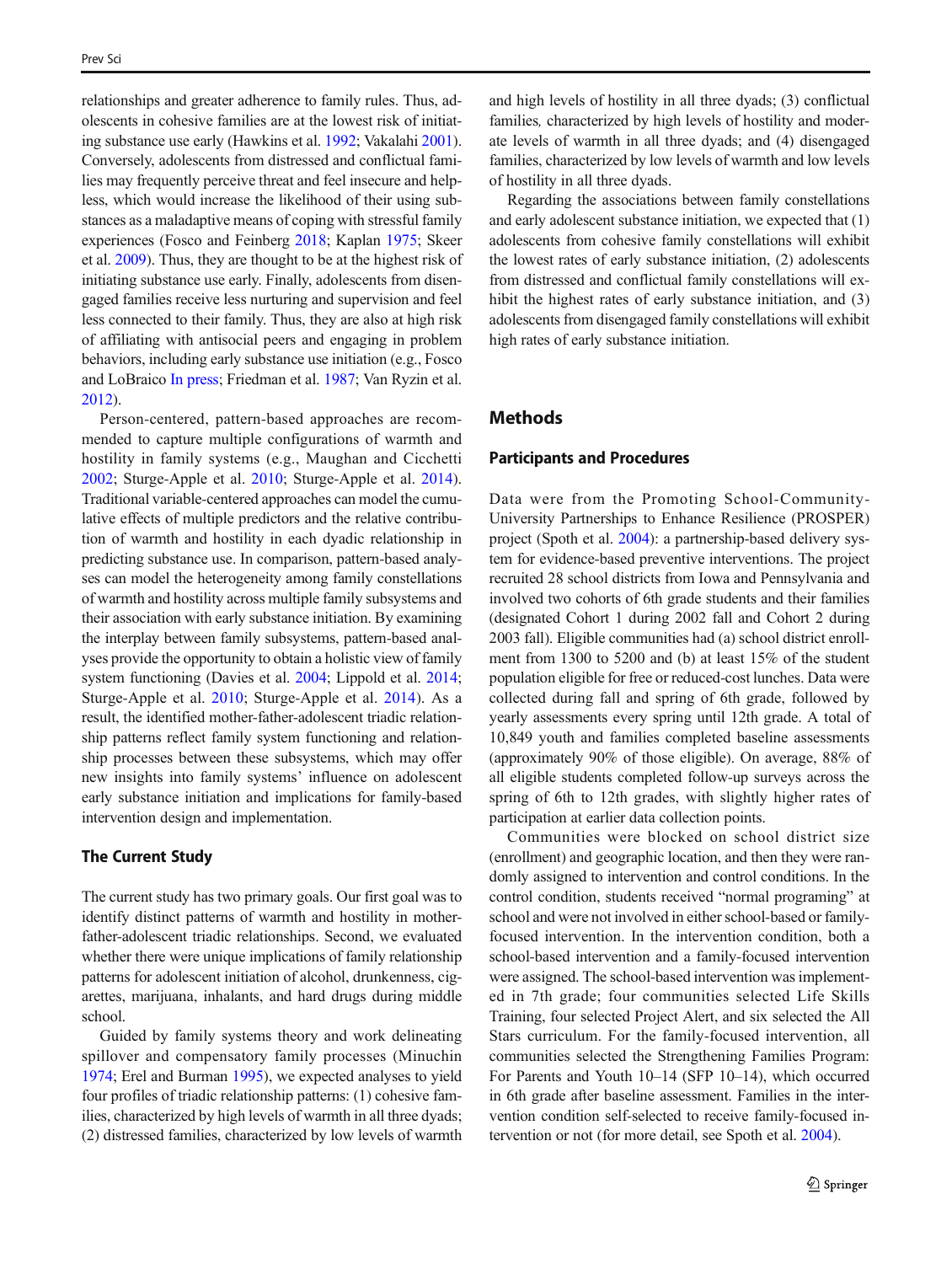relationships and greater adherence to family rules. Thus, adolescents in cohesive families are at the lowest risk of initiating substance use early (Hawkins et al. [1992;](#page-8-0) Vakalahi [2001\)](#page-9-0). Conversely, adolescents from distressed and conflictual families may frequently perceive threat and feel insecure and helpless, which would increase the likelihood of their using substances as a maladaptive means of coping with stressful family experiences (Fosco and Feinberg [2018](#page-8-0); Kaplan [1975](#page-9-0); Skeer et al. [2009\)](#page-9-0). Thus, they are thought to be at the highest risk of initiating substance use early. Finally, adolescents from disengaged families receive less nurturing and supervision and feel less connected to their family. Thus, they are also at high risk of affiliating with antisocial peers and engaging in problem behaviors, including early substance use initiation (e.g., Fosco and LoBraico [In press;](#page-8-0) Friedman et al. [1987](#page-8-0); Van Ryzin et al. [2012\)](#page-10-0).

Person-centered, pattern-based approaches are recommended to capture multiple configurations of warmth and hostility in family systems (e.g., Maughan and Cicchetti [2002;](#page-9-0) Sturge-Apple et al. [2010](#page-9-0); Sturge-Apple et al. [2014](#page-9-0)). Traditional variable-centered approaches can model the cumulative effects of multiple predictors and the relative contribution of warmth and hostility in each dyadic relationship in predicting substance use. In comparison, pattern-based analyses can model the heterogeneity among family constellations of warmth and hostility across multiple family subsystems and their association with early substance initiation. By examining the interplay between family subsystems, pattern-based analyses provide the opportunity to obtain a holistic view of family system functioning (Davies et al. [2004](#page-8-0); Lippold et al. [2014](#page-9-0); Sturge-Apple et al. [2010](#page-9-0); Sturge-Apple et al. [2014](#page-9-0)). As a result, the identified mother-father-adolescent triadic relationship patterns reflect family system functioning and relationship processes between these subsystems, which may offer new insights into family systems' influence on adolescent early substance initiation and implications for family-based intervention design and implementation.

### The Current Study

The current study has two primary goals. Our first goal was to identify distinct patterns of warmth and hostility in motherfather-adolescent triadic relationships. Second, we evaluated whether there were unique implications of family relationship patterns for adolescent initiation of alcohol, drunkenness, cigarettes, marijuana, inhalants, and hard drugs during middle school.

Guided by family systems theory and work delineating spillover and compensatory family processes (Minuchin [1974;](#page-9-0) Erel and Burman [1995\)](#page-8-0), we expected analyses to yield four profiles of triadic relationship patterns: (1) cohesive families, characterized by high levels of warmth in all three dyads; (2) distressed families, characterized by low levels of warmth

and high levels of hostility in all three dyads; (3) conflictual families, characterized by high levels of hostility and moderate levels of warmth in all three dyads; and (4) disengaged families, characterized by low levels of warmth and low levels of hostility in all three dyads.

Regarding the associations between family constellations and early adolescent substance initiation, we expected that (1) adolescents from cohesive family constellations will exhibit the lowest rates of early substance initiation, (2) adolescents from distressed and conflictual family constellations will exhibit the highest rates of early substance initiation, and (3) adolescents from disengaged family constellations will exhibit high rates of early substance initiation.

# **Methods**

#### Participants and Procedures

Data were from the Promoting School-Community-University Partnerships to Enhance Resilience (PROSPER) project (Spoth et al. [2004](#page-9-0)): a partnership-based delivery system for evidence-based preventive interventions. The project recruited 28 school districts from Iowa and Pennsylvania and involved two cohorts of 6th grade students and their families (designated Cohort 1 during 2002 fall and Cohort 2 during 2003 fall). Eligible communities had (a) school district enrollment from 1300 to 5200 and (b) at least 15% of the student population eligible for free or reduced-cost lunches. Data were collected during fall and spring of 6th grade, followed by yearly assessments every spring until 12th grade. A total of 10,849 youth and families completed baseline assessments (approximately 90% of those eligible). On average, 88% of all eligible students completed follow-up surveys across the spring of 6th to 12th grades, with slightly higher rates of participation at earlier data collection points.

Communities were blocked on school district size (enrollment) and geographic location, and then they were randomly assigned to intervention and control conditions. In the control condition, students received "normal programing" at school and were not involved in either school-based or familyfocused intervention. In the intervention condition, both a school-based intervention and a family-focused intervention were assigned. The school-based intervention was implemented in 7th grade; four communities selected Life Skills Training, four selected Project Alert, and six selected the All Stars curriculum. For the family-focused intervention, all communities selected the Strengthening Families Program: For Parents and Youth 10–14 (SFP 10–14), which occurred in 6th grade after baseline assessment. Families in the intervention condition self-selected to receive family-focused intervention or not (for more detail, see Spoth et al. [2004\)](#page-9-0).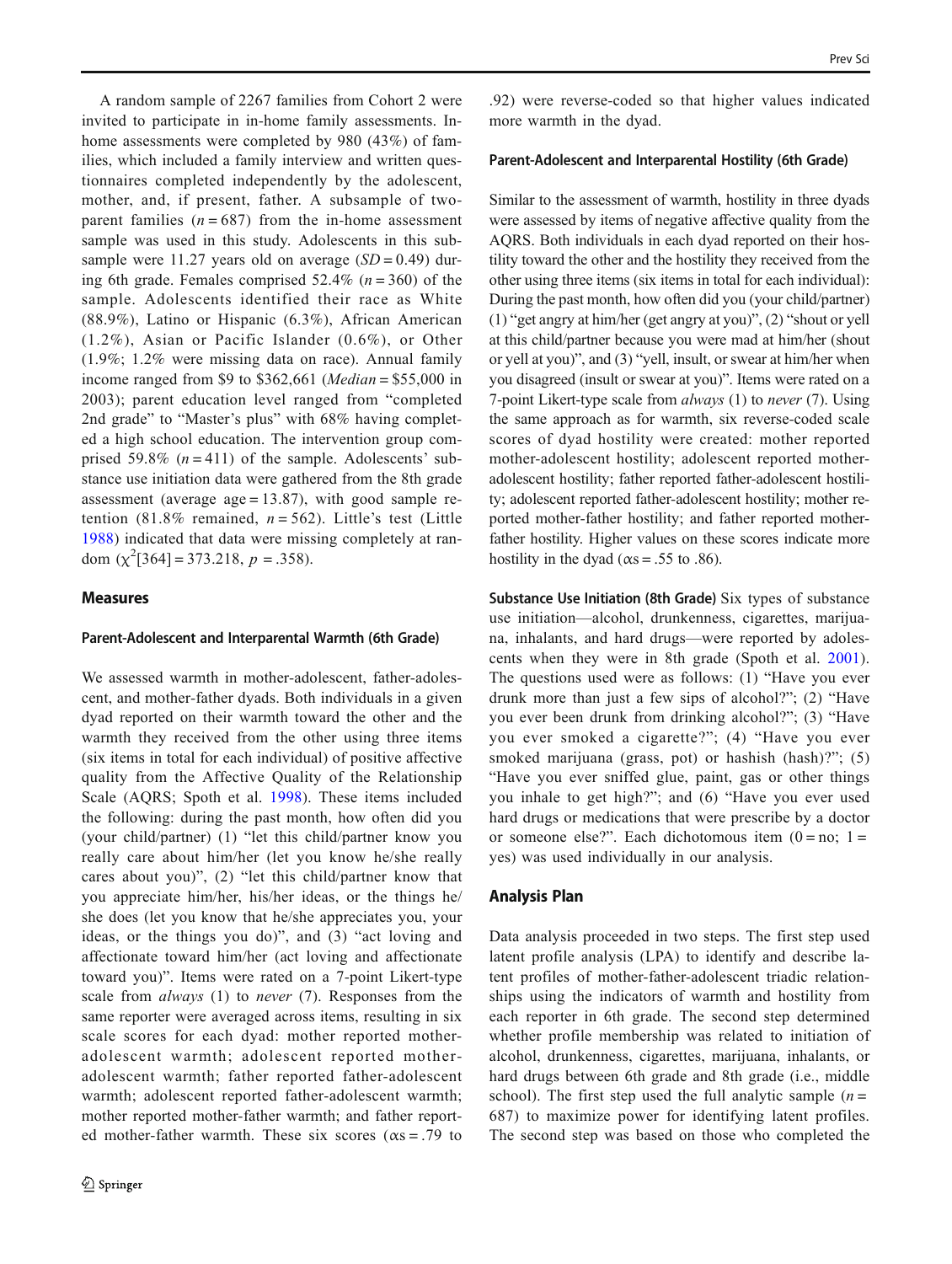A random sample of 2267 families from Cohort 2 were invited to participate in in-home family assessments. Inhome assessments were completed by 980 (43%) of families, which included a family interview and written questionnaires completed independently by the adolescent, mother, and, if present, father. A subsample of twoparent families  $(n = 687)$  from the in-home assessment sample was used in this study. Adolescents in this subsample were 11.27 years old on average  $(SD = 0.49)$  during 6th grade. Females comprised 52.4% ( $n = 360$ ) of the sample. Adolescents identified their race as White (88.9%), Latino or Hispanic (6.3%), African American (1.2%), Asian or Pacific Islander (0.6%), or Other (1.9%; 1.2% were missing data on race). Annual family income ranged from \$9 to \$362,661 (*Median* = \$55,000 in 2003); parent education level ranged from "completed 2nd grade" to "Master's plus" with 68% having completed a high school education. The intervention group comprised 59.8%  $(n = 411)$  of the sample. Adolescents' substance use initiation data were gathered from the 8th grade assessment (average  $age = 13.87$ ), with good sample retention (81.8% remained,  $n = 562$ ). Little's test (Little [1988](#page-9-0)) indicated that data were missing completely at random  $(\chi^2[364] = 373.218, p = .358)$ .

#### Measures

#### Parent-Adolescent and Interparental Warmth (6th Grade)

We assessed warmth in mother-adolescent, father-adolescent, and mother-father dyads. Both individuals in a given dyad reported on their warmth toward the other and the warmth they received from the other using three items (six items in total for each individual) of positive affective quality from the Affective Quality of the Relationship Scale (AQRS; Spoth et al. [1998](#page-9-0)). These items included the following: during the past month, how often did you (your child/partner) (1) "let this child/partner know you really care about him/her (let you know he/she really cares about you)", (2) "let this child/partner know that you appreciate him/her, his/her ideas, or the things he/ she does (let you know that he/she appreciates you, your ideas, or the things you do)", and (3) "act loving and affectionate toward him/her (act loving and affectionate toward you)". Items were rated on a 7-point Likert-type scale from *always* (1) to *never* (7). Responses from the same reporter were averaged across items, resulting in six scale scores for each dyad: mother reported motheradolescent warmth; adolescent reported motheradolescent warmth; father reported father-adolescent warmth; adolescent reported father-adolescent warmth; mother reported mother-father warmth; and father reported mother-father warmth. These six scores ( $\alpha$ s = .79 to

.92) were reverse-coded so that higher values indicated more warmth in the dyad.

#### Parent-Adolescent and Interparental Hostility (6th Grade)

Similar to the assessment of warmth, hostility in three dyads were assessed by items of negative affective quality from the AQRS. Both individuals in each dyad reported on their hostility toward the other and the hostility they received from the other using three items (six items in total for each individual): During the past month, how often did you (your child/partner) (1) "get angry at him/her (get angry at you)", (2) "shout or yell at this child/partner because you were mad at him/her (shout or yell at you)", and (3) "yell, insult, or swear at him/her when you disagreed (insult or swear at you)". Items were rated on a 7-point Likert-type scale from always (1) to never (7). Using the same approach as for warmth, six reverse-coded scale scores of dyad hostility were created: mother reported mother-adolescent hostility; adolescent reported motheradolescent hostility; father reported father-adolescent hostility; adolescent reported father-adolescent hostility; mother reported mother-father hostility; and father reported motherfather hostility. Higher values on these scores indicate more hostility in the dyad ( $\alpha$ s = .55 to .86).

Substance Use Initiation (8th Grade) Six types of substance use initiation—alcohol, drunkenness, cigarettes, marijuana, inhalants, and hard drugs—were reported by adolescents when they were in 8th grade (Spoth et al. [2001](#page-9-0)). The questions used were as follows: (1) "Have you ever drunk more than just a few sips of alcohol?"; (2) "Have you ever been drunk from drinking alcohol?"; (3) "Have you ever smoked a cigarette?"; (4) "Have you ever smoked marijuana (grass, pot) or hashish (hash)?"; (5) "Have you ever sniffed glue, paint, gas or other things you inhale to get high?"; and (6) "Have you ever used hard drugs or medications that were prescribe by a doctor or someone else?". Each dichotomous item  $(0 = no; 1 =$ yes) was used individually in our analysis.

#### Analysis Plan

Data analysis proceeded in two steps. The first step used latent profile analysis (LPA) to identify and describe latent profiles of mother-father-adolescent triadic relationships using the indicators of warmth and hostility from each reporter in 6th grade. The second step determined whether profile membership was related to initiation of alcohol, drunkenness, cigarettes, marijuana, inhalants, or hard drugs between 6th grade and 8th grade (i.e., middle school). The first step used the full analytic sample  $(n =$ 687) to maximize power for identifying latent profiles. The second step was based on those who completed the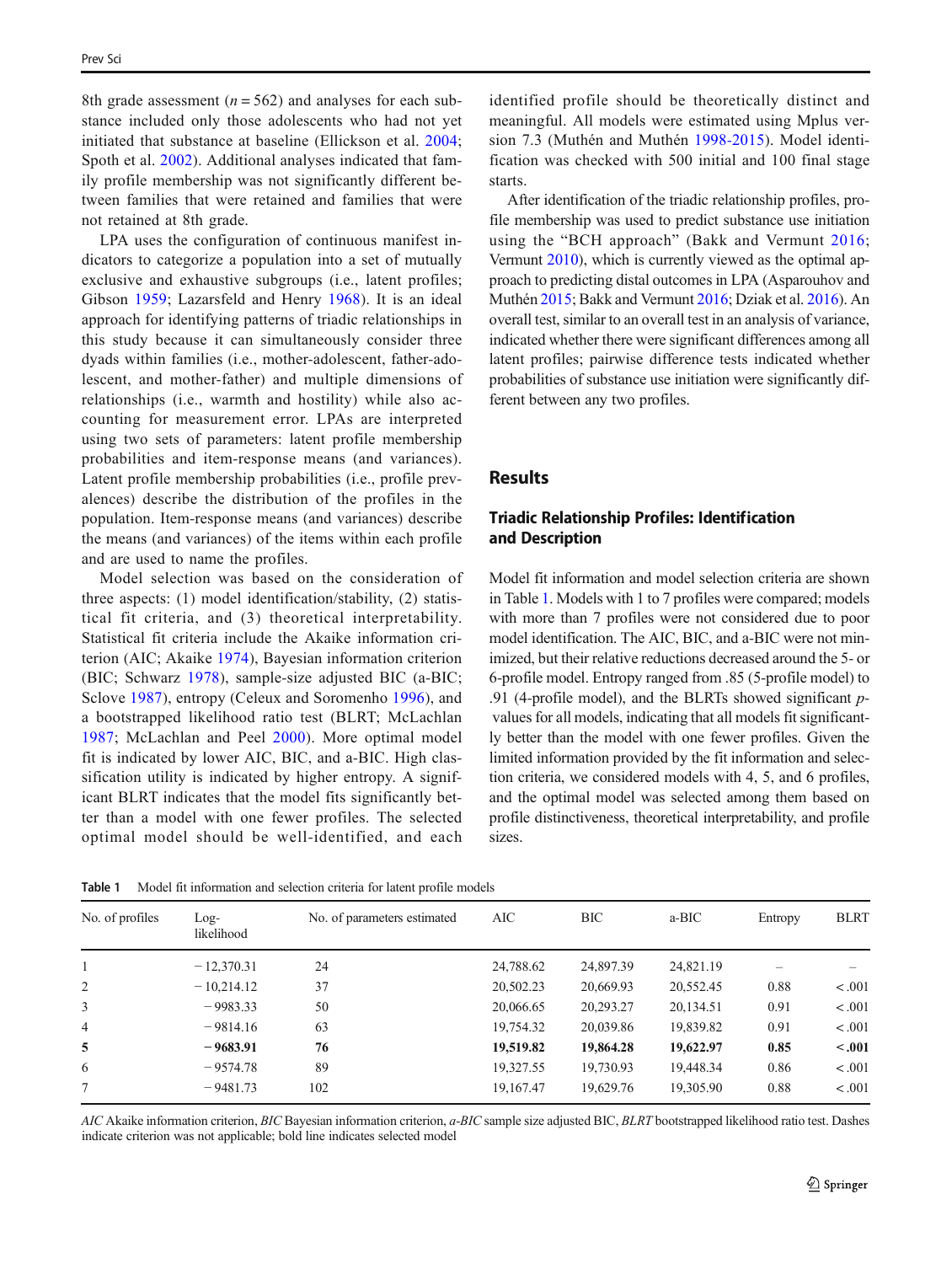8th grade assessment ( $n = 562$ ) and analyses for each substance included only those adolescents who had not yet initiated that substance at baseline (Ellickson et al. [2004](#page-8-0); Spoth et al. [2002\)](#page-9-0). Additional analyses indicated that family profile membership was not significantly different between families that were retained and families that were not retained at 8th grade.

LPA uses the configuration of continuous manifest indicators to categorize a population into a set of mutually exclusive and exhaustive subgroups (i.e., latent profiles; Gibson [1959;](#page-8-0) Lazarsfeld and Henry [1968\)](#page-9-0). It is an ideal approach for identifying patterns of triadic relationships in this study because it can simultaneously consider three dyads within families (i.e., mother-adolescent, father-adolescent, and mother-father) and multiple dimensions of relationships (i.e., warmth and hostility) while also accounting for measurement error. LPAs are interpreted using two sets of parameters: latent profile membership probabilities and item-response means (and variances). Latent profile membership probabilities (i.e., profile prevalences) describe the distribution of the profiles in the population. Item-response means (and variances) describe the means (and variances) of the items within each profile and are used to name the profiles.

Model selection was based on the consideration of three aspects: (1) model identification/stability, (2) statistical fit criteria, and (3) theoretical interpretability. Statistical fit criteria include the Akaike information criterion (AIC; Akaike [1974](#page-8-0)), Bayesian information criterion (BIC; Schwarz [1978](#page-9-0)), sample-size adjusted BIC (a-BIC; Sclove [1987\)](#page-9-0), entropy (Celeux and Soromenho [1996\)](#page-8-0), and a bootstrapped likelihood ratio test (BLRT; McLachlan [1987](#page-9-0); McLachlan and Peel [2000](#page-9-0)). More optimal model fit is indicated by lower AIC, BIC, and a-BIC. High classification utility is indicated by higher entropy. A significant BLRT indicates that the model fits significantly better than a model with one fewer profiles. The selected optimal model should be well-identified, and each

identified profile should be theoretically distinct and meaningful. All models were estimated using Mplus version 7.3 (Muthén and Muthén [1998-2015\)](#page-9-0). Model identification was checked with 500 initial and 100 final stage starts.

After identification of the triadic relationship profiles, profile membership was used to predict substance use initiation using the "BCH approach" (Bakk and Vermunt [2016;](#page-8-0) Vermunt [2010\)](#page-10-0), which is currently viewed as the optimal approach to predicting distal outcomes in LPA (Asparouhov and Muthén [2015;](#page-8-0) Bakk and Vermunt [2016;](#page-8-0) Dziak et al. [2016\)](#page-8-0). An overall test, similar to an overall test in an analysis of variance, indicated whether there were significant differences among all latent profiles; pairwise difference tests indicated whether probabilities of substance use initiation were significantly different between any two profiles.

## **Results**

## Triadic Relationship Profiles: Identification and Description

Model fit information and model selection criteria are shown in Table 1. Models with 1 to 7 profiles were compared; models with more than 7 profiles were not considered due to poor model identification. The AIC, BIC, and a-BIC were not minimized, but their relative reductions decreased around the 5- or 6-profile model. Entropy ranged from .85 (5-profile model) to .91 (4-profile model), and the BLRTs showed significant pvalues for all models, indicating that all models fit significantly better than the model with one fewer profiles. Given the limited information provided by the fit information and selection criteria, we considered models with 4, 5, and 6 profiles, and the optimal model was selected among them based on profile distinctiveness, theoretical interpretability, and profile sizes.

| Table 1 Model fit information and selection criteria for latent profile models |
|--------------------------------------------------------------------------------|
|                                                                                |

| No. of profiles | $Log-$<br>likelihood | No. of parameters estimated | AIC       | ВIС       | a-BIC     | Entropy | <b>BLRT</b> |
|-----------------|----------------------|-----------------------------|-----------|-----------|-----------|---------|-------------|
|                 | $-12,370.31$         | 24                          | 24,788.62 | 24,897.39 | 24,821.19 |         |             |
| 2               | $-10,214.12$         | 37                          | 20,502.23 | 20,669.93 | 20,552.45 | 0.88    | < .001      |
| 3               | $-9983.33$           | 50                          | 20,066.65 | 20,293.27 | 20,134.51 | 0.91    | < .001      |
| $\overline{4}$  | $-9814.16$           | 63                          | 19.754.32 | 20,039.86 | 19,839.82 | 0.91    | < .001      |
| 5               | $-9683.91$           | 76                          | 19,519.82 | 19,864.28 | 19,622.97 | 0.85    | $-.001$     |
| 6               | $-9574.78$           | 89                          | 19.327.55 | 19,730.93 | 19,448.34 | 0.86    | < .001      |
|                 | $-9481.73$           | 102                         | 19.167.47 | 19,629.76 | 19,305.90 | 0.88    | < .001      |

AIC Akaike information criterion, BIC Bayesian information criterion, a-BIC sample size adjusted BIC, BLRT bootstrapped likelihood ratio test. Dashes indicate criterion was not applicable; bold line indicates selected model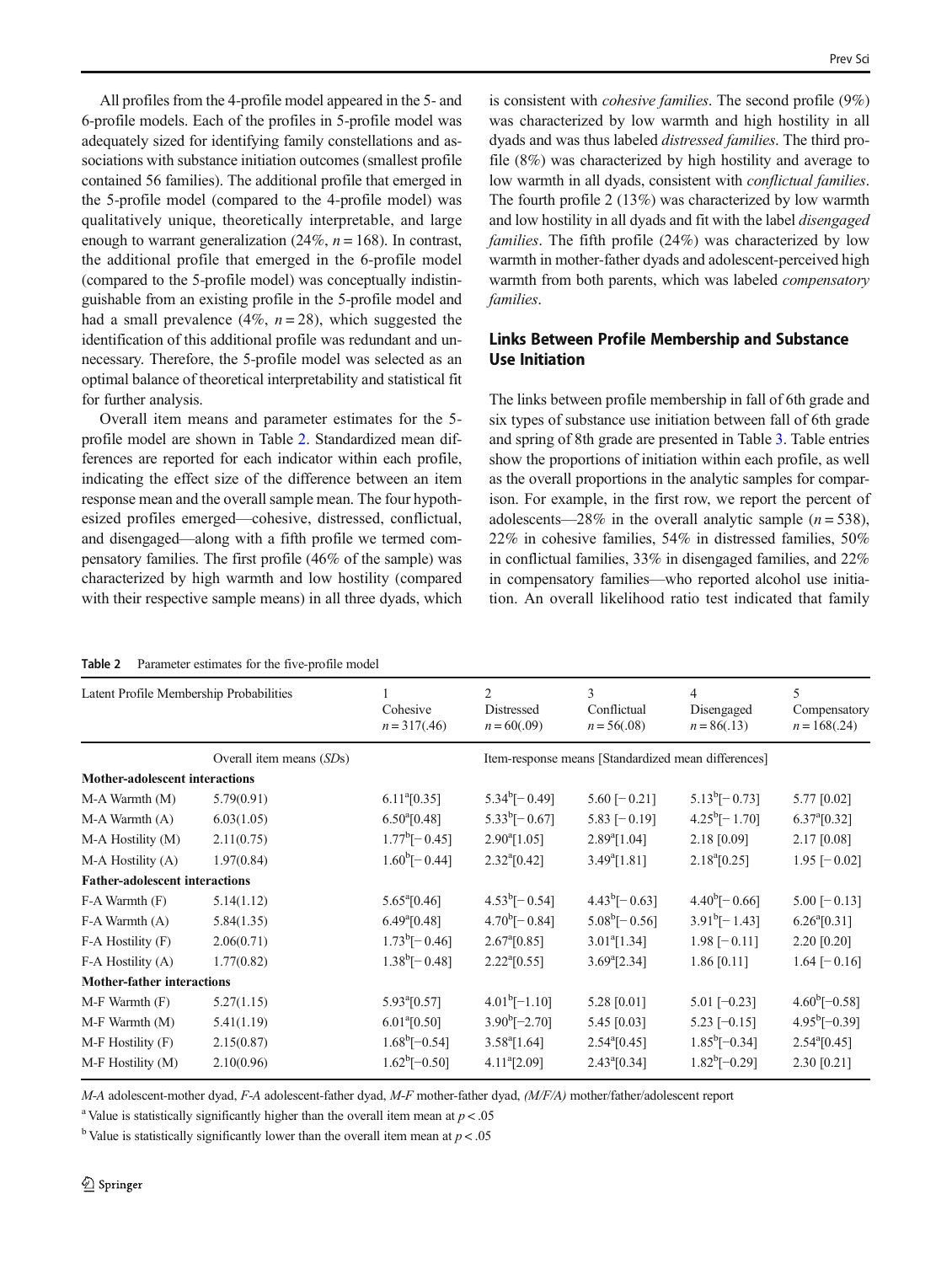All profiles from the 4-profile model appeared in the 5- and 6-profile models. Each of the profiles in 5-profile model was adequately sized for identifying family constellations and associations with substance initiation outcomes (smallest profile contained 56 families). The additional profile that emerged in the 5-profile model (compared to the 4-profile model) was qualitatively unique, theoretically interpretable, and large enough to warrant generalization (24%,  $n = 168$ ). In contrast, the additional profile that emerged in the 6-profile model (compared to the 5-profile model) was conceptually indistinguishable from an existing profile in the 5-profile model and had a small prevalence (4%,  $n = 28$ ), which suggested the identification of this additional profile was redundant and unnecessary. Therefore, the 5-profile model was selected as an optimal balance of theoretical interpretability and statistical fit for further analysis.

Overall item means and parameter estimates for the 5 profile model are shown in Table 2. Standardized mean differences are reported for each indicator within each profile, indicating the effect size of the difference between an item response mean and the overall sample mean. The four hypothesized profiles emerged—cohesive, distressed, conflictual, and disengaged—along with a fifth profile we termed compensatory families. The first profile (46% of the sample) was characterized by high warmth and low hostility (compared with their respective sample means) in all three dyads, which

is consistent with cohesive families. The second profile (9%) was characterized by low warmth and high hostility in all dyads and was thus labeled distressed families. The third profile (8%) was characterized by high hostility and average to low warmth in all dyads, consistent with *conflictual families*. The fourth profile 2 (13%) was characterized by low warmth and low hostility in all dyads and fit with the label disengaged families. The fifth profile (24%) was characterized by low warmth in mother-father dyads and adolescent-perceived high warmth from both parents, which was labeled compensatory families.

# Links Between Profile Membership and Substance Use Initiation

The links between profile membership in fall of 6th grade and six types of substance use initiation between fall of 6th grade and spring of 8th grade are presented in Table [3](#page-6-0). Table entries show the proportions of initiation within each profile, as well as the overall proportions in the analytic samples for comparison. For example, in the first row, we report the percent of adolescents—28% in the overall analytic sample  $(n = 538)$ , 22% in cohesive families, 54% in distressed families, 50% in conflictual families, 33% in disengaged families, and 22% in compensatory families—who reported alcohol use initiation. An overall likelihood ratio test indicated that family

Table 2 Parameter estimates for the five-profile model

| Latent Profile Membership Probabilities |                          | Cohesive<br>$n = 317(.46)$ | $\overline{c}$<br>Distressed<br>$n = 60(.09)$ | 3<br>Conflictual<br>$n = 56(.08)$                   | $\overline{4}$<br>Disengaged<br>$n = 86(.13)$ | 5<br>Compensatory<br>$n = 168(.24)$ |
|-----------------------------------------|--------------------------|----------------------------|-----------------------------------------------|-----------------------------------------------------|-----------------------------------------------|-------------------------------------|
|                                         | Overall item means (SDs) |                            |                                               | Item-response means [Standardized mean differences] |                                               |                                     |
| <b>Mother-adolescent interactions</b>   |                          |                            |                                               |                                                     |                                               |                                     |
| M-A Warmth (M)                          | 5.79(0.91)               | $6.11^{a}[0.35]$           | $5.34^b[-0.49]$                               | 5.60 [ $-0.21$ ]                                    | $5.13^b[-0.73]$                               | 5.77 [0.02]                         |
| M-A Warmth (A)                          | 6.03(1.05)               | $6.50^{a}[0.48]$           | $5.33^b[-0.67]$                               | $5.83$ [ $-0.19$ ]                                  | $4.25^{\rm b}[-1.70]$                         | $6.37^{a}[0.32]$                    |
| M-A Hostility (M)                       | 2.11(0.75)               | $1.77^{\rm b}[-0.45]$      | $2.90^{a}$ [1.05]                             | $2.89^{a}[1.04]$                                    | 2.18 [0.09]                                   | 2.17 [0.08]                         |
| M-A Hostility (A)                       | 1.97(0.84)               | $1.60^{\rm b}[-0.44]$      | $2.32^{\circ} [0.42]$                         | $3.49^{a}[1.81]$                                    | $2.18^{a}[0.25]$                              | $1.95$ [ $-0.02$ ]                  |
| <b>Father-adolescent interactions</b>   |                          |                            |                                               |                                                     |                                               |                                     |
| $F-A Warmth (F)$                        | 5.14(1.12)               | $5.65^{\circ}[0.46]$       | $4.53^b[-0.54]$                               | $4.43^b[-0.63]$                                     | $4.40^b[-0.66]$                               | $5.00$ [ $-0.13$ ]                  |
| F-A Warmth (A)                          | 5.84(1.35)               | $6.49^{a}[0.48]$           | $4.70^{\circ}$ [-0.84]                        | $5.08^b[-0.56]$                                     | $3.91^b[-1.43]$                               | $6.26^{a}[0.31]$                    |
| $F-A$ Hostility $(F)$                   | 2.06(0.71)               | $1.73^{\circ}[-0.46]$      | $2.67^{a}[0.85]$                              | $3.01^{\circ}$ [1.34]                               | $1.98[-0.11]$                                 | 2.20 [0.20]                         |
| F-A Hostility (A)                       | 1.77(0.82)               | $1.38^{\rm b}[-0.48]$      | $2.22^{\text{a}}[0.55]$                       | $3.69^{\circ}$ [2.34]                               | 1.86 [0.11]                                   | $1.64$ [-0.16]                      |
| <b>Mother-father interactions</b>       |                          |                            |                                               |                                                     |                                               |                                     |
| $M-F$ Warmth $(F)$                      | 5.27(1.15)               | $5.93^{\circ}[0.57]$       | $4.01^b[-1.10]$                               | 5.28 [0.01]                                         | $5.01$ [-0.23]                                | $4.60^b[-0.58]$                     |
| M-F Warmth (M)                          | 5.41(1.19)               | $6.01^{a}[0.50]$           | $3.90^{\rm b}[-2.70]$                         | 5.45 [0.03]                                         | $5.23$ [-0.15]                                | $4.95^{\rm b}[-0.39]$               |
| M-F Hostility (F)                       | 2.15(0.87)               | $1.68^{\circ}[-0.54]$      | $3.58^{a}[1.64]$                              | $2.54^{\circ}[0.45]$                                | $1.85^{\circ}[-0.34]$                         | $2.54^{a}[0.45]$                    |
| M-F Hostility (M)                       | 2.10(0.96)               | $1.62^b[-0.50]$            | $4.11^{\circ}$ [2.09]                         | $2.43^{\circ}$ [0.34]                               | $1.82^b[-0.29]$                               | 2.30 [0.21]                         |

M-A adolescent-mother dyad, F-A adolescent-father dyad, M-F mother-father dyad, (M/F/A) mother/father/adolescent report

<sup>a</sup> Value is statistically significantly higher than the overall item mean at  $p < .05$ 

<sup>b</sup> Value is statistically significantly lower than the overall item mean at  $p < .05$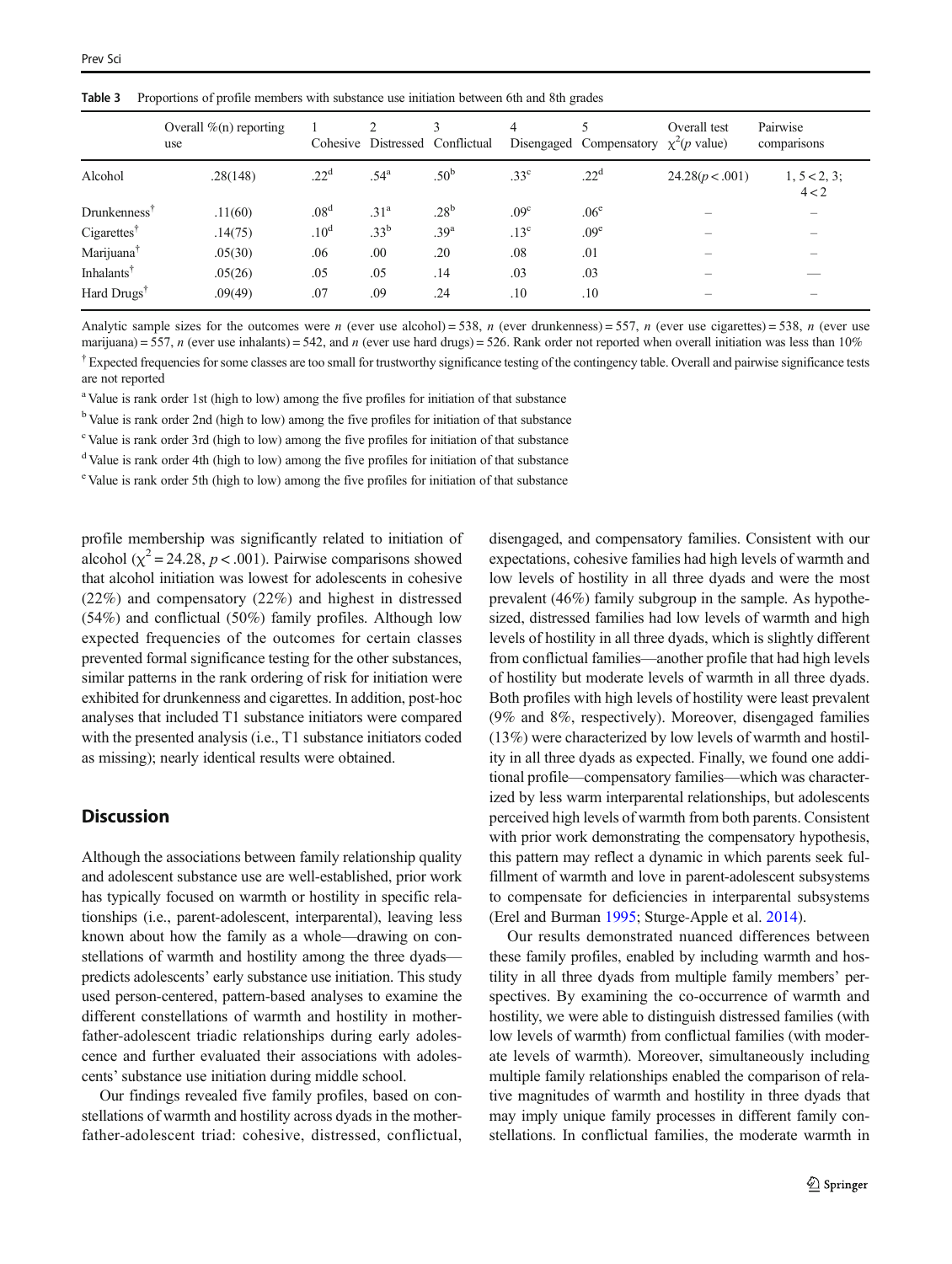<span id="page-6-0"></span>

|  |  |  | <b>Table 3</b> Proportions of profile members with substance use initiation between 6th and 8th grades |  |
|--|--|--|--------------------------------------------------------------------------------------------------------|--|
|--|--|--|--------------------------------------------------------------------------------------------------------|--|

|                         | Overall $\%$ (n) reporting<br>use |                  | ∍                | 3<br>Cohesive Distressed Conflictual | 4                | Disengaged Compensatory $\chi^2(p \text{ value})$ | Overall test    | Pairwise<br>comparisons  |
|-------------------------|-----------------------------------|------------------|------------------|--------------------------------------|------------------|---------------------------------------------------|-----------------|--------------------------|
| Alcohol                 | .28(148)                          | .22 <sup>d</sup> | .54 <sup>a</sup> | .50 <sup>b</sup>                     | .33 <sup>c</sup> | .22 <sup>d</sup>                                  | 24.28(p < .001) | 1, 5 < 2, 3;<br>4 < 2    |
| Drunkennes <sup>†</sup> | .11(60)                           | .08 <sup>d</sup> | .31 <sup>a</sup> | .28 <sup>b</sup>                     | .09 <sup>c</sup> | .06 <sup>e</sup>                                  | –               | $\overline{\phantom{m}}$ |
| Cigarettes <sup>†</sup> | .14(75)                           | .10 <sup>d</sup> | .33 <sup>b</sup> | .39 <sup>a</sup>                     | .13 <sup>c</sup> | .09 <sup>e</sup>                                  |                 |                          |
| Marijuana <sup>†</sup>  | .05(30)                           | .06              | .00              | .20                                  | .08              | .01                                               |                 |                          |
| Inhalants <sup>†</sup>  | .05(26)                           | .05              | .05              | .14                                  | .03              | .03                                               |                 |                          |
| Hard Drugs <sup>†</sup> | .09(49)                           | .07              | .09              | .24                                  | .10              | .10                                               |                 |                          |

Analytic sample sizes for the outcomes were n (ever use alcohol) = 538, n (ever drunkenness) = 557, n (ever use cigarettes) = 538, n (ever use marijuana) = 557, n (ever use inhalants) = 542, and n (ever use hard drugs) = 526. Rank order not reported when overall initiation was less than 10%  $^{\dagger}$  Expected frequencies for some classes are too small for trustworthy significance testing of the contingency table. Overall and pairwise significance tests

are not reported <sup>a</sup> Value is rank order 1st (high to low) among the five profiles for initiation of that substance

<sup>b</sup> Value is rank order 2nd (high to low) among the five profiles for initiation of that substance

<sup>c</sup> Value is rank order 3rd (high to low) among the five profiles for initiation of that substance

<sup>d</sup> Value is rank order 4th (high to low) among the five profiles for initiation of that substance

<sup>e</sup> Value is rank order 5th (high to low) among the five profiles for initiation of that substance

profile membership was significantly related to initiation of alcohol ( $\chi^2$  = 24.28, *p* < .001). Pairwise comparisons showed that alcohol initiation was lowest for adolescents in cohesive (22%) and compensatory (22%) and highest in distressed (54%) and conflictual (50%) family profiles. Although low expected frequencies of the outcomes for certain classes prevented formal significance testing for the other substances, similar patterns in the rank ordering of risk for initiation were exhibited for drunkenness and cigarettes. In addition, post-hoc analyses that included T1 substance initiators were compared with the presented analysis (i.e., T1 substance initiators coded as missing); nearly identical results were obtained.

## **Discussion**

Although the associations between family relationship quality and adolescent substance use are well-established, prior work has typically focused on warmth or hostility in specific relationships (i.e., parent-adolescent, interparental), leaving less known about how the family as a whole—drawing on constellations of warmth and hostility among the three dyads predicts adolescents' early substance use initiation. This study used person-centered, pattern-based analyses to examine the different constellations of warmth and hostility in motherfather-adolescent triadic relationships during early adolescence and further evaluated their associations with adolescents' substance use initiation during middle school.

Our findings revealed five family profiles, based on constellations of warmth and hostility across dyads in the motherfather-adolescent triad: cohesive, distressed, conflictual, disengaged, and compensatory families. Consistent with our expectations, cohesive families had high levels of warmth and low levels of hostility in all three dyads and were the most prevalent (46%) family subgroup in the sample. As hypothesized, distressed families had low levels of warmth and high levels of hostility in all three dyads, which is slightly different from conflictual families—another profile that had high levels of hostility but moderate levels of warmth in all three dyads. Both profiles with high levels of hostility were least prevalent (9% and 8%, respectively). Moreover, disengaged families (13%) were characterized by low levels of warmth and hostility in all three dyads as expected. Finally, we found one additional profile—compensatory families—which was characterized by less warm interparental relationships, but adolescents perceived high levels of warmth from both parents. Consistent with prior work demonstrating the compensatory hypothesis, this pattern may reflect a dynamic in which parents seek fulfillment of warmth and love in parent-adolescent subsystems to compensate for deficiencies in interparental subsystems (Erel and Burman [1995](#page-8-0); Sturge-Apple et al. [2014](#page-9-0)).

Our results demonstrated nuanced differences between these family profiles, enabled by including warmth and hostility in all three dyads from multiple family members' perspectives. By examining the co-occurrence of warmth and hostility, we were able to distinguish distressed families (with low levels of warmth) from conflictual families (with moderate levels of warmth). Moreover, simultaneously including multiple family relationships enabled the comparison of relative magnitudes of warmth and hostility in three dyads that may imply unique family processes in different family constellations. In conflictual families, the moderate warmth in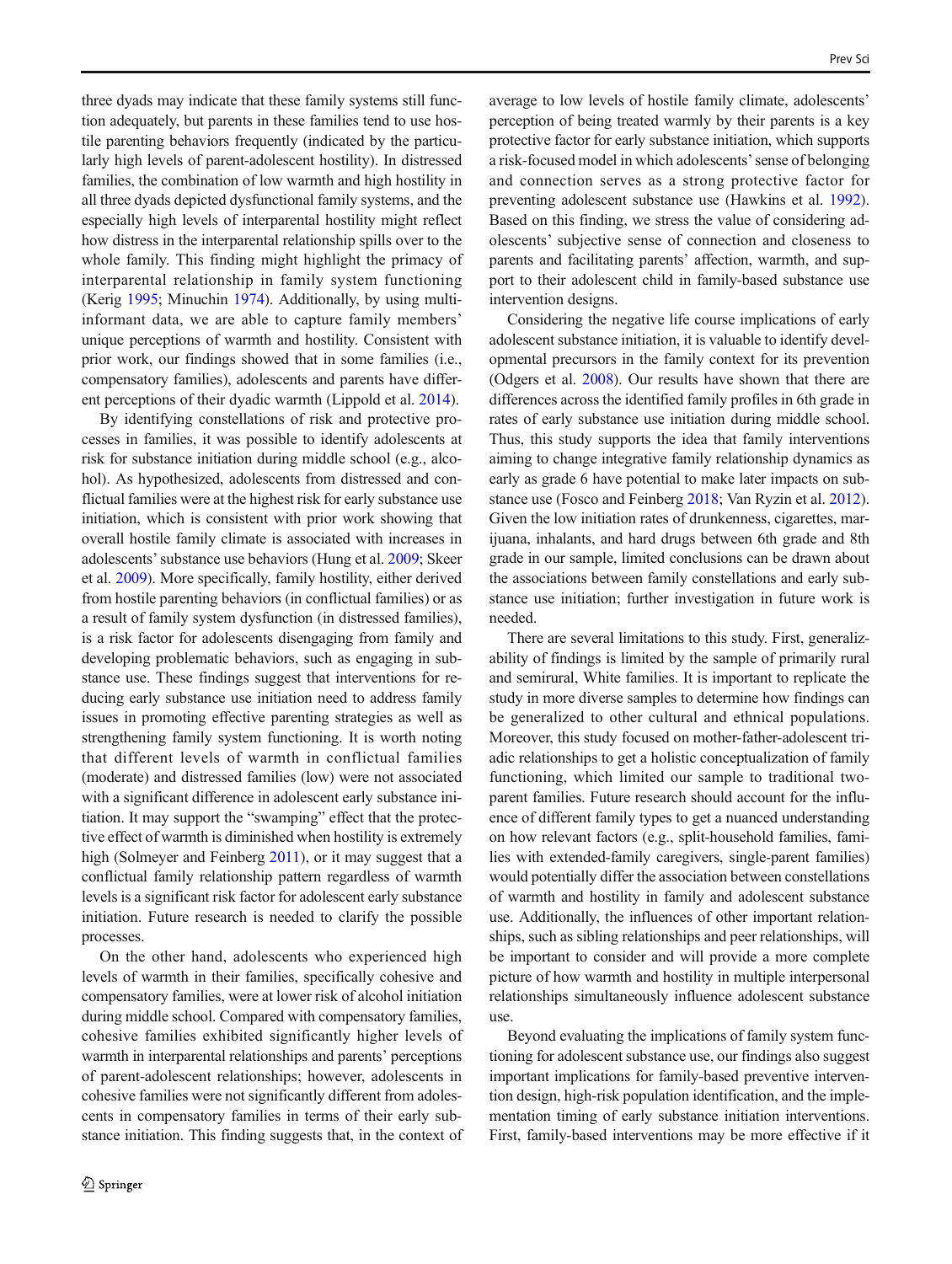three dyads may indicate that these family systems still function adequately, but parents in these families tend to use hostile parenting behaviors frequently (indicated by the particularly high levels of parent-adolescent hostility). In distressed families, the combination of low warmth and high hostility in all three dyads depicted dysfunctional family systems, and the especially high levels of interparental hostility might reflect how distress in the interparental relationship spills over to the whole family. This finding might highlight the primacy of interparental relationship in family system functioning (Kerig [1995;](#page-9-0) Minuchin [1974](#page-9-0)). Additionally, by using multiinformant data, we are able to capture family members' unique perceptions of warmth and hostility. Consistent with prior work, our findings showed that in some families (i.e., compensatory families), adolescents and parents have different perceptions of their dyadic warmth (Lippold et al. [2014\)](#page-9-0).

By identifying constellations of risk and protective processes in families, it was possible to identify adolescents at risk for substance initiation during middle school (e.g., alcohol). As hypothesized, adolescents from distressed and conflictual families were at the highest risk for early substance use initiation, which is consistent with prior work showing that overall hostile family climate is associated with increases in adolescents'substance use behaviors (Hung et al. [2009](#page-9-0); Skeer et al. [2009\)](#page-9-0). More specifically, family hostility, either derived from hostile parenting behaviors (in conflictual families) or as a result of family system dysfunction (in distressed families), is a risk factor for adolescents disengaging from family and developing problematic behaviors, such as engaging in substance use. These findings suggest that interventions for reducing early substance use initiation need to address family issues in promoting effective parenting strategies as well as strengthening family system functioning. It is worth noting that different levels of warmth in conflictual families (moderate) and distressed families (low) were not associated with a significant difference in adolescent early substance initiation. It may support the "swamping" effect that the protective effect of warmth is diminished when hostility is extremely high (Solmeyer and Feinberg [2011\)](#page-9-0), or it may suggest that a conflictual family relationship pattern regardless of warmth levels is a significant risk factor for adolescent early substance initiation. Future research is needed to clarify the possible processes.

On the other hand, adolescents who experienced high levels of warmth in their families, specifically cohesive and compensatory families, were at lower risk of alcohol initiation during middle school. Compared with compensatory families, cohesive families exhibited significantly higher levels of warmth in interparental relationships and parents' perceptions of parent-adolescent relationships; however, adolescents in cohesive families were not significantly different from adolescents in compensatory families in terms of their early substance initiation. This finding suggests that, in the context of

average to low levels of hostile family climate, adolescents' perception of being treated warmly by their parents is a key protective factor for early substance initiation, which supports a risk-focused model in which adolescents'sense of belonging and connection serves as a strong protective factor for preventing adolescent substance use (Hawkins et al. [1992\)](#page-8-0). Based on this finding, we stress the value of considering adolescents' subjective sense of connection and closeness to parents and facilitating parents' affection, warmth, and support to their adolescent child in family-based substance use intervention designs.

Considering the negative life course implications of early adolescent substance initiation, it is valuable to identify developmental precursors in the family context for its prevention (Odgers et al. [2008\)](#page-9-0). Our results have shown that there are differences across the identified family profiles in 6th grade in rates of early substance use initiation during middle school. Thus, this study supports the idea that family interventions aiming to change integrative family relationship dynamics as early as grade 6 have potential to make later impacts on substance use (Fosco and Feinberg [2018;](#page-8-0) Van Ryzin et al. [2012\)](#page-10-0). Given the low initiation rates of drunkenness, cigarettes, marijuana, inhalants, and hard drugs between 6th grade and 8th grade in our sample, limited conclusions can be drawn about the associations between family constellations and early substance use initiation; further investigation in future work is needed.

There are several limitations to this study. First, generalizability of findings is limited by the sample of primarily rural and semirural, White families. It is important to replicate the study in more diverse samples to determine how findings can be generalized to other cultural and ethnical populations. Moreover, this study focused on mother-father-adolescent triadic relationships to get a holistic conceptualization of family functioning, which limited our sample to traditional twoparent families. Future research should account for the influence of different family types to get a nuanced understanding on how relevant factors (e.g., split-household families, families with extended-family caregivers, single-parent families) would potentially differ the association between constellations of warmth and hostility in family and adolescent substance use. Additionally, the influences of other important relationships, such as sibling relationships and peer relationships, will be important to consider and will provide a more complete picture of how warmth and hostility in multiple interpersonal relationships simultaneously influence adolescent substance use.

Beyond evaluating the implications of family system functioning for adolescent substance use, our findings also suggest important implications for family-based preventive intervention design, high-risk population identification, and the implementation timing of early substance initiation interventions. First, family-based interventions may be more effective if it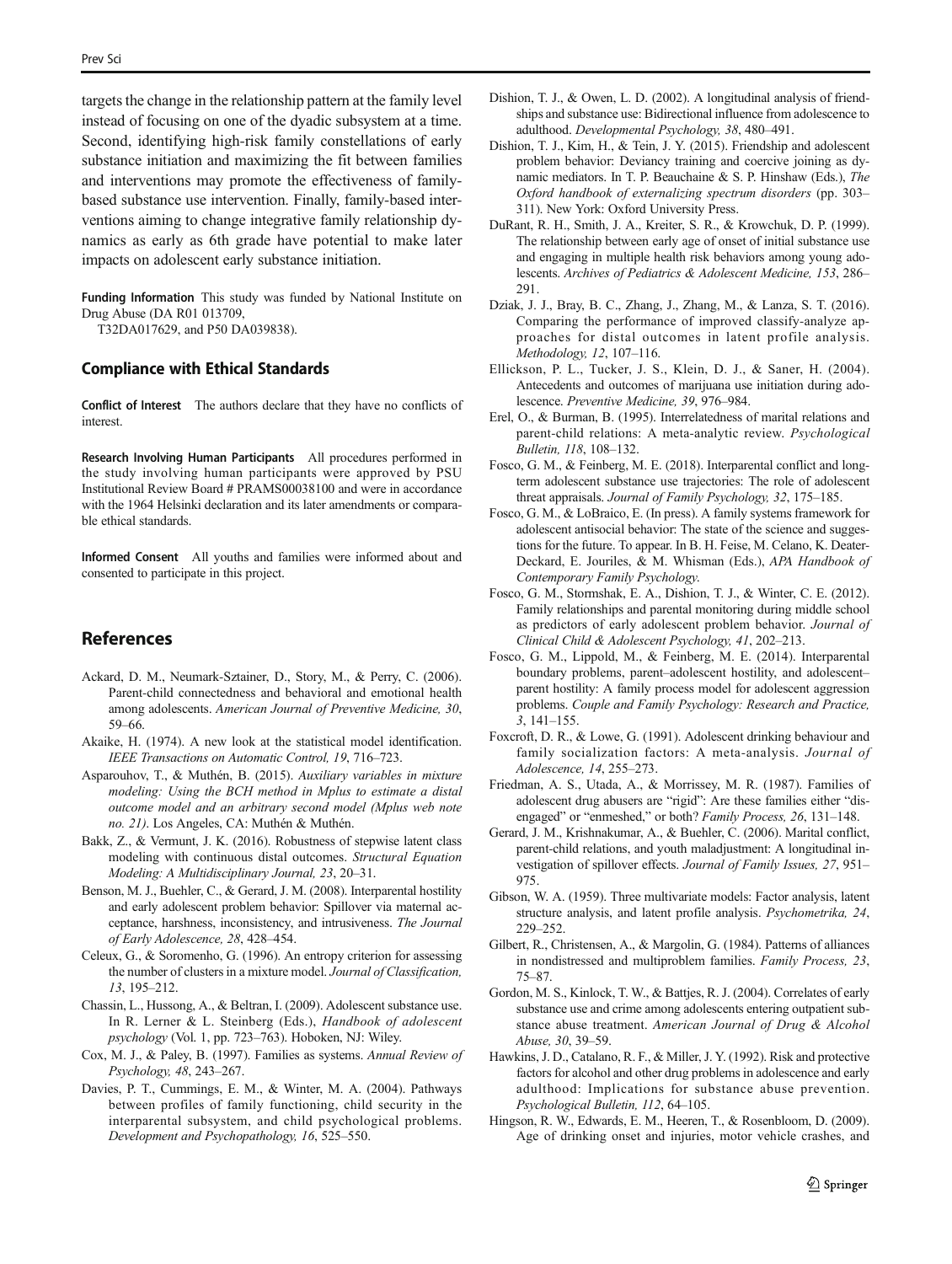<span id="page-8-0"></span>targets the change in the relationship pattern at the family level instead of focusing on one of the dyadic subsystem at a time. Second, identifying high-risk family constellations of early substance initiation and maximizing the fit between families and interventions may promote the effectiveness of familybased substance use intervention. Finally, family-based interventions aiming to change integrative family relationship dynamics as early as 6th grade have potential to make later impacts on adolescent early substance initiation.

Funding Information This study was funded by National Institute on Drug Abuse (DA R01 013709,

T32DA017629, and P50 DA039838).

#### Compliance with Ethical Standards

Conflict of Interest The authors declare that they have no conflicts of interest.

Research Involving Human Participants All procedures performed in the study involving human participants were approved by PSU Institutional Review Board # PRAMS00038100 and were in accordance with the 1964 Helsinki declaration and its later amendments or comparable ethical standards.

Informed Consent All youths and families were informed about and consented to participate in this project.

## References

- Ackard, D. M., Neumark-Sztainer, D., Story, M., & Perry, C. (2006). Parent-child connectedness and behavioral and emotional health among adolescents. American Journal of Preventive Medicine, 30, 59–66.
- Akaike, H. (1974). A new look at the statistical model identification. IEEE Transactions on Automatic Control, 19, 716–723.
- Asparouhov, T., & Muthén, B. (2015). Auxiliary variables in mixture modeling: Using the BCH method in Mplus to estimate a distal outcome model and an arbitrary second model (Mplus web note no. 21). Los Angeles, CA: Muthén & Muthén.
- Bakk, Z., & Vermunt, J. K. (2016). Robustness of stepwise latent class modeling with continuous distal outcomes. Structural Equation Modeling: A Multidisciplinary Journal, 23, 20–31.
- Benson, M. J., Buehler, C., & Gerard, J. M. (2008). Interparental hostility and early adolescent problem behavior: Spillover via maternal acceptance, harshness, inconsistency, and intrusiveness. The Journal of Early Adolescence, 28, 428–454.
- Celeux, G., & Soromenho, G. (1996). An entropy criterion for assessing the number of clusters in a mixture model. Journal of Classification, 13, 195–212.
- Chassin, L., Hussong, A., & Beltran, I. (2009). Adolescent substance use. In R. Lerner & L. Steinberg (Eds.), Handbook of adolescent psychology (Vol. 1, pp. 723–763). Hoboken, NJ: Wiley.
- Cox, M. J., & Paley, B. (1997). Families as systems. Annual Review of Psychology, 48, 243–267.
- Davies, P. T., Cummings, E. M., & Winter, M. A. (2004). Pathways between profiles of family functioning, child security in the interparental subsystem, and child psychological problems. Development and Psychopathology, 16, 525–550.
- Dishion, T. J., & Owen, L. D. (2002). A longitudinal analysis of friendships and substance use: Bidirectional influence from adolescence to adulthood. Developmental Psychology, 38, 480–491.
- Dishion, T. J., Kim, H., & Tein, J. Y. (2015). Friendship and adolescent problem behavior: Deviancy training and coercive joining as dynamic mediators. In T. P. Beauchaine & S. P. Hinshaw (Eds.), The Oxford handbook of externalizing spectrum disorders (pp. 303– 311). New York: Oxford University Press.
- DuRant, R. H., Smith, J. A., Kreiter, S. R., & Krowchuk, D. P. (1999). The relationship between early age of onset of initial substance use and engaging in multiple health risk behaviors among young adolescents. Archives of Pediatrics & Adolescent Medicine, 153, 286– 291.
- Dziak, J. J., Bray, B. C., Zhang, J., Zhang, M., & Lanza, S. T. (2016). Comparing the performance of improved classify-analyze approaches for distal outcomes in latent profile analysis. Methodology, 12, 107–116.
- Ellickson, P. L., Tucker, J. S., Klein, D. J., & Saner, H. (2004). Antecedents and outcomes of marijuana use initiation during adolescence. Preventive Medicine, 39, 976–984.
- Erel, O., & Burman, B. (1995). Interrelatedness of marital relations and parent-child relations: A meta-analytic review. Psychological Bulletin, 118, 108–132.
- Fosco, G. M., & Feinberg, M. E. (2018). Interparental conflict and longterm adolescent substance use trajectories: The role of adolescent threat appraisals. Journal of Family Psychology, 32, 175–185.
- Fosco, G. M., & LoBraico, E. (In press). A family systems framework for adolescent antisocial behavior: The state of the science and suggestions for the future. To appear. In B. H. Feise, M. Celano, K. Deater-Deckard, E. Jouriles, & M. Whisman (Eds.), APA Handbook of Contemporary Family Psychology.
- Fosco, G. M., Stormshak, E. A., Dishion, T. J., & Winter, C. E. (2012). Family relationships and parental monitoring during middle school as predictors of early adolescent problem behavior. Journal of Clinical Child & Adolescent Psychology, 41, 202–213.
- Fosco, G. M., Lippold, M., & Feinberg, M. E. (2014). Interparental boundary problems, parent–adolescent hostility, and adolescent– parent hostility: A family process model for adolescent aggression problems. Couple and Family Psychology: Research and Practice, 3, 141–155.
- Foxcroft, D. R., & Lowe, G. (1991). Adolescent drinking behaviour and family socialization factors: A meta-analysis. Journal of Adolescence, 14, 255–273.
- Friedman, A. S., Utada, A., & Morrissey, M. R. (1987). Families of adolescent drug abusers are "rigid": Are these families either "disengaged" or "enmeshed," or both? Family Process, 26, 131–148.
- Gerard, J. M., Krishnakumar, A., & Buehler, C. (2006). Marital conflict, parent-child relations, and youth maladjustment: A longitudinal investigation of spillover effects. Journal of Family Issues, 27, 951– 975.
- Gibson, W. A. (1959). Three multivariate models: Factor analysis, latent structure analysis, and latent profile analysis. Psychometrika, 24, 229–252.
- Gilbert, R., Christensen, A., & Margolin, G. (1984). Patterns of alliances in nondistressed and multiproblem families. Family Process, 23, 75–87.
- Gordon, M. S., Kinlock, T. W., & Battjes, R. J. (2004). Correlates of early substance use and crime among adolescents entering outpatient substance abuse treatment. American Journal of Drug & Alcohol Abuse, 30, 39–59.
- Hawkins, J. D., Catalano, R. F., & Miller, J. Y. (1992). Risk and protective factors for alcohol and other drug problems in adolescence and early adulthood: Implications for substance abuse prevention. Psychological Bulletin, 112, 64–105.
- Hingson, R. W., Edwards, E. M., Heeren, T., & Rosenbloom, D. (2009). Age of drinking onset and injuries, motor vehicle crashes, and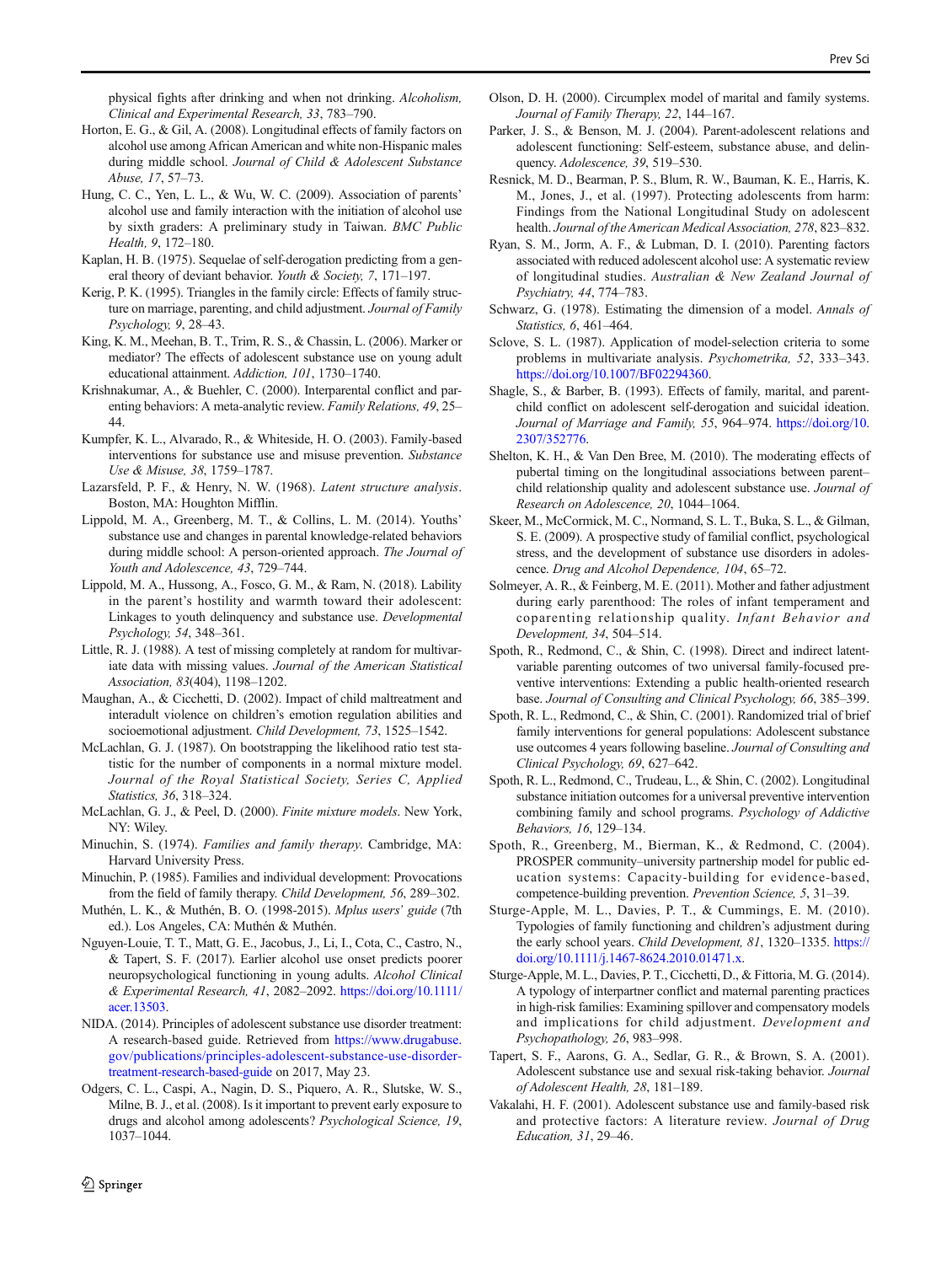<span id="page-9-0"></span>physical fights after drinking and when not drinking. Alcoholism, Clinical and Experimental Research, 33, 783–790.

- Horton, E. G., & Gil, A. (2008). Longitudinal effects of family factors on alcohol use among African American and white non-Hispanic males during middle school. Journal of Child & Adolescent Substance Abuse, 17, 57–73.
- Hung, C. C., Yen, L. L., & Wu, W. C. (2009). Association of parents' alcohol use and family interaction with the initiation of alcohol use by sixth graders: A preliminary study in Taiwan. BMC Public Health, 9, 172–180.
- Kaplan, H. B. (1975). Sequelae of self-derogation predicting from a general theory of deviant behavior. Youth & Society, 7, 171-197.
- Kerig, P. K. (1995). Triangles in the family circle: Effects of family structure on marriage, parenting, and child adjustment. Journal of Family Psychology, 9, 28–43.
- King, K. M., Meehan, B. T., Trim, R. S., & Chassin, L. (2006). Marker or mediator? The effects of adolescent substance use on young adult educational attainment. Addiction, 101, 1730–1740.
- Krishnakumar, A., & Buehler, C. (2000). Interparental conflict and parenting behaviors: A meta-analytic review. Family Relations, 49, 25– 44.
- Kumpfer, K. L., Alvarado, R., & Whiteside, H. O. (2003). Family-based interventions for substance use and misuse prevention. Substance Use & Misuse, 38, 1759–1787.
- Lazarsfeld, P. F., & Henry, N. W. (1968). Latent structure analysis. Boston, MA: Houghton Mifflin.
- Lippold, M. A., Greenberg, M. T., & Collins, L. M. (2014). Youths' substance use and changes in parental knowledge-related behaviors during middle school: A person-oriented approach. The Journal of Youth and Adolescence, 43, 729–744.
- Lippold, M. A., Hussong, A., Fosco, G. M., & Ram, N. (2018). Lability in the parent's hostility and warmth toward their adolescent: Linkages to youth delinquency and substance use. Developmental Psychology, 54, 348–361.
- Little, R. J. (1988). A test of missing completely at random for multivariate data with missing values. Journal of the American Statistical Association, 83(404), 1198–1202.
- Maughan, A., & Cicchetti, D. (2002). Impact of child maltreatment and interadult violence on children's emotion regulation abilities and socioemotional adjustment. Child Development, 73, 1525–1542.
- McLachlan, G. J. (1987). On bootstrapping the likelihood ratio test statistic for the number of components in a normal mixture model. Journal of the Royal Statistical Society, Series C, Applied Statistics, 36, 318–324.
- McLachlan, G. J., & Peel, D. (2000). Finite mixture models. New York, NY: Wiley.
- Minuchin, S. (1974). Families and family therapy. Cambridge, MA: Harvard University Press.
- Minuchin, P. (1985). Families and individual development: Provocations from the field of family therapy. Child Development, 56, 289–302.
- Muthén, L. K., & Muthén, B. O. (1998-2015). Mplus users' guide (7th ed.). Los Angeles, CA: Muthén & Muthén.
- Nguyen-Louie, T. T., Matt, G. E., Jacobus, J., Li, I., Cota, C., Castro, N., & Tapert, S. F. (2017). Earlier alcohol use onset predicts poorer neuropsychological functioning in young adults. Alcohol Clinical & Experimental Research, 41, 2082–2092. [https://doi.org/10.1111/](https://doi.org/10.1111/acer.13503) [acer.13503.](https://doi.org/10.1111/acer.13503)
- NIDA. (2014). Principles of adolescent substance use disorder treatment: A research-based guide. Retrieved from [https://www.drugabuse.](https://www.drugabuse.gov/publications/principles-adolescent-substance-use-disorder-treatment-research-based-guide) [gov/publications/principles-adolescent-substance-use-disorder](https://www.drugabuse.gov/publications/principles-adolescent-substance-use-disorder-treatment-research-based-guide)[treatment-research-based-guide](https://www.drugabuse.gov/publications/principles-adolescent-substance-use-disorder-treatment-research-based-guide) on 2017, May 23.
- Odgers, C. L., Caspi, A., Nagin, D. S., Piquero, A. R., Slutske, W. S., Milne, B. J., et al. (2008). Is it important to prevent early exposure to drugs and alcohol among adolescents? Psychological Science, 19, 1037–1044.
- Olson, D. H. (2000). Circumplex model of marital and family systems. Journal of Family Therapy, 22, 144–167.
- Parker, J. S., & Benson, M. J. (2004). Parent-adolescent relations and adolescent functioning: Self-esteem, substance abuse, and delinquency. Adolescence, 39, 519–530.
- Resnick, M. D., Bearman, P. S., Blum, R. W., Bauman, K. E., Harris, K. M., Jones, J., et al. (1997). Protecting adolescents from harm: Findings from the National Longitudinal Study on adolescent health. Journal of the American Medical Association, 278, 823–832.
- Ryan, S. M., Jorm, A. F., & Lubman, D. I. (2010). Parenting factors associated with reduced adolescent alcohol use: A systematic review of longitudinal studies. Australian & New Zealand Journal of Psychiatry, 44, 774–783.
- Schwarz, G. (1978). Estimating the dimension of a model. Annals of Statistics, 6, 461–464.
- Sclove, S. L. (1987). Application of model-selection criteria to some problems in multivariate analysis. Psychometrika, 52, 333–343. <https://doi.org/10.1007/BF02294360>.
- Shagle, S., & Barber, B. (1993). Effects of family, marital, and parentchild conflict on adolescent self-derogation and suicidal ideation. Journal of Marriage and Family, 55, 964–974. [https://doi.org/10.](https://doi.org/10.2307/352776) [2307/352776.](https://doi.org/10.2307/352776)
- Shelton, K. H., & Van Den Bree, M. (2010). The moderating effects of pubertal timing on the longitudinal associations between parent– child relationship quality and adolescent substance use. Journal of Research on Adolescence, 20, 1044–1064.
- Skeer, M., McCormick, M. C., Normand, S. L. T., Buka, S. L., & Gilman, S. E. (2009). A prospective study of familial conflict, psychological stress, and the development of substance use disorders in adolescence. Drug and Alcohol Dependence, 104, 65–72.
- Solmeyer, A. R., & Feinberg, M. E. (2011). Mother and father adjustment during early parenthood: The roles of infant temperament and coparenting relationship quality. Infant Behavior and Development, 34, 504–514.
- Spoth, R., Redmond, C., & Shin, C. (1998). Direct and indirect latentvariable parenting outcomes of two universal family-focused preventive interventions: Extending a public health-oriented research base. Journal of Consulting and Clinical Psychology, 66, 385–399.
- Spoth, R. L., Redmond, C., & Shin, C. (2001). Randomized trial of brief family interventions for general populations: Adolescent substance use outcomes 4 years following baseline. Journal of Consulting and Clinical Psychology, 69, 627–642.
- Spoth, R. L., Redmond, C., Trudeau, L., & Shin, C. (2002). Longitudinal substance initiation outcomes for a universal preventive intervention combining family and school programs. Psychology of Addictive Behaviors, 16, 129–134.
- Spoth, R., Greenberg, M., Bierman, K., & Redmond, C. (2004). PROSPER community–university partnership model for public education systems: Capacity-building for evidence-based, competence-building prevention. Prevention Science, 5, 31–39.
- Sturge-Apple, M. L., Davies, P. T., & Cummings, E. M. (2010). Typologies of family functioning and children's adjustment during the early school years. Child Development, 81, 1320-1335. [https://](https://doi.org/10.1111/j.1467-8624.2010.01471.x) [doi.org/10.1111/j.1467-8624.2010.01471.x](https://doi.org/10.1111/j.1467-8624.2010.01471.x).
- Sturge-Apple, M. L., Davies, P. T., Cicchetti, D., & Fittoria, M. G. (2014). A typology of interpartner conflict and maternal parenting practices in high-risk families: Examining spillover and compensatory models and implications for child adjustment. Development and Psychopathology, 26, 983–998.
- Tapert, S. F., Aarons, G. A., Sedlar, G. R., & Brown, S. A. (2001). Adolescent substance use and sexual risk-taking behavior. Journal of Adolescent Health, 28, 181–189.
- Vakalahi, H. F. (2001). Adolescent substance use and family-based risk and protective factors: A literature review. Journal of Drug Education, 31, 29–46.